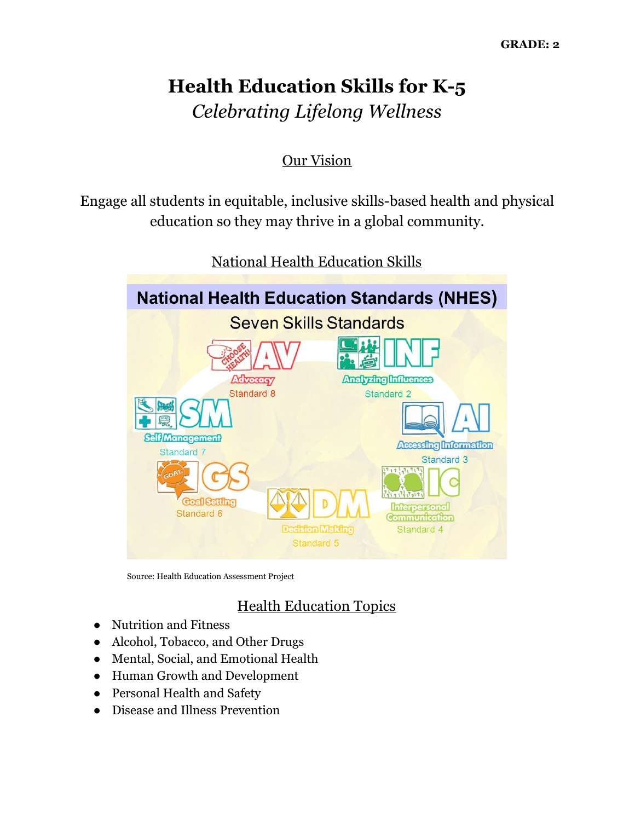# **Health Education Skills for K-5** *Celebrating Lifelong Wellness*

## Our Vision

Engage all students in equitable, inclusive skills-based health and physical education so they may thrive in a global community.



National Health Education Skills

Source: Health Education Assessment Project

## Health Education Topics

- Nutrition and Fitness
- Alcohol, Tobacco, and Other Drugs
- Mental, Social, and Emotional Health
- Human Growth and Development
- Personal Health and Safety
- Disease and Illness Prevention